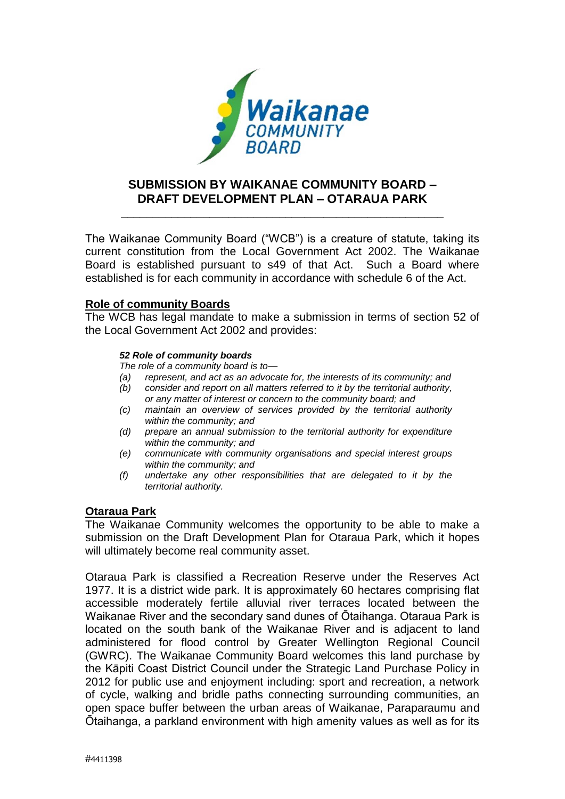

## **SUBMISSION BY WAIKANAE COMMUNITY BOARD – DRAFT DEVELOPMENT PLAN – OTARAUA PARK**

**\_\_\_\_\_\_\_\_\_\_\_\_\_\_\_\_\_\_\_\_\_\_\_\_\_\_\_\_\_\_\_\_\_\_\_\_\_\_\_\_\_\_\_\_\_\_\_\_\_\_\_**

The Waikanae Community Board ("WCB") is a creature of statute, taking its current constitution from the Local Government Act 2002. The Waikanae Board is established pursuant to s49 of that Act. Such a Board where established is for each community in accordance with schedule 6 of the Act.

## **Role of community Boards**

The WCB has legal mandate to make a submission in terms of section 52 of the Local Government Act 2002 and provides:

## *52 Role of community boards*

*The role of a community board is to—*

- *(a) represent, and act as an advocate for, the interests of its community; and*
- *(b) consider and report on all matters referred to it by the territorial authority, or any matter of interest or concern to the community board; and*
- *(c) maintain an overview of services provided by the territorial authority within the community; and*
- *(d) prepare an annual submission to the territorial authority for expenditure within the community; and*
- *(e) communicate with community organisations and special interest groups within the community; and*
- *(f) undertake any other responsibilities that are delegated to it by the territorial authority.*

## **Otaraua Park**

The Waikanae Community welcomes the opportunity to be able to make a submission on the Draft Development Plan for Otaraua Park, which it hopes will ultimately become real community asset.

Otaraua Park is classified a Recreation Reserve under the Reserves Act 1977. It is a district wide park. It is approximately 60 hectares comprising flat accessible moderately fertile alluvial river terraces located between the Waikanae River and the secondary sand dunes of Ōtaihanga. Otaraua Park is located on the south bank of the Waikanae River and is adjacent to land administered for flood control by Greater Wellington Regional Council (GWRC). The Waikanae Community Board welcomes this land purchase by the Kāpiti Coast District Council under the Strategic Land Purchase Policy in 2012 for public use and enjoyment including: sport and recreation, a network of cycle, walking and bridle paths connecting surrounding communities, an open space buffer between the urban areas of Waikanae, Paraparaumu and Ōtaihanga, a parkland environment with high amenity values as well as for its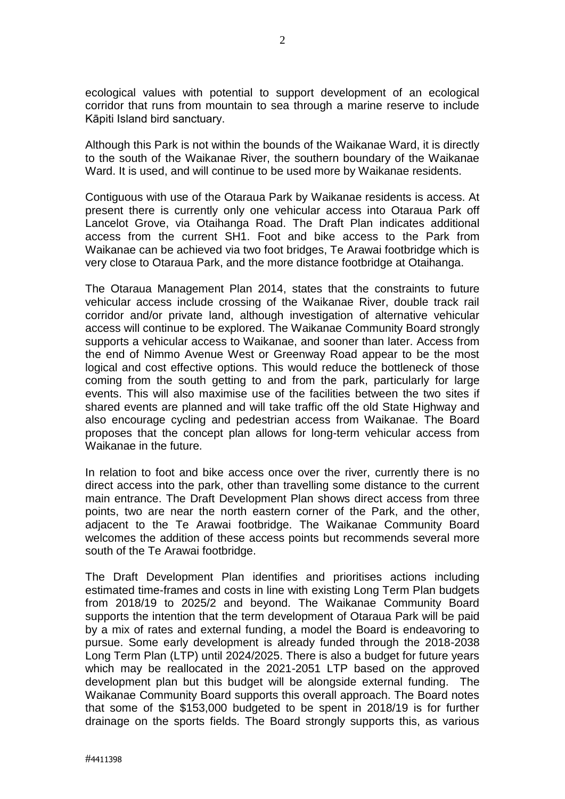ecological values with potential to support development of an ecological corridor that runs from mountain to sea through a marine reserve to include Kāpiti Island bird sanctuary.

Although this Park is not within the bounds of the Waikanae Ward, it is directly to the south of the Waikanae River, the southern boundary of the Waikanae Ward. It is used, and will continue to be used more by Waikanae residents.

Contiguous with use of the Otaraua Park by Waikanae residents is access. At present there is currently only one vehicular access into Otaraua Park off Lancelot Grove, via Otaihanga Road. The Draft Plan indicates additional access from the current SH1. Foot and bike access to the Park from Waikanae can be achieved via two foot bridges, Te Arawai footbridge which is very close to Otaraua Park, and the more distance footbridge at Otaihanga.

The Otaraua Management Plan 2014, states that the constraints to future vehicular access include crossing of the Waikanae River, double track rail corridor and/or private land, although investigation of alternative vehicular access will continue to be explored. The Waikanae Community Board strongly supports a vehicular access to Waikanae, and sooner than later. Access from the end of Nimmo Avenue West or Greenway Road appear to be the most logical and cost effective options. This would reduce the bottleneck of those coming from the south getting to and from the park, particularly for large events. This will also maximise use of the facilities between the two sites if shared events are planned and will take traffic off the old State Highway and also encourage cycling and pedestrian access from Waikanae. The Board proposes that the concept plan allows for long-term vehicular access from Waikanae in the future.

In relation to foot and bike access once over the river, currently there is no direct access into the park, other than travelling some distance to the current main entrance. The Draft Development Plan shows direct access from three points, two are near the north eastern corner of the Park, and the other, adjacent to the Te Arawai footbridge. The Waikanae Community Board welcomes the addition of these access points but recommends several more south of the Te Arawai footbridge.

The Draft Development Plan identifies and prioritises actions including estimated time-frames and costs in line with existing Long Term Plan budgets from 2018/19 to 2025/2 and beyond. The Waikanae Community Board supports the intention that the term development of Otaraua Park will be paid by a mix of rates and external funding, a model the Board is endeavoring to pursue. Some early development is already funded through the 2018-2038 Long Term Plan (LTP) until 2024/2025. There is also a budget for future years which may be reallocated in the 2021-2051 LTP based on the approved development plan but this budget will be alongside external funding. The Waikanae Community Board supports this overall approach. The Board notes that some of the \$153,000 budgeted to be spent in 2018/19 is for further drainage on the sports fields. The Board strongly supports this, as various